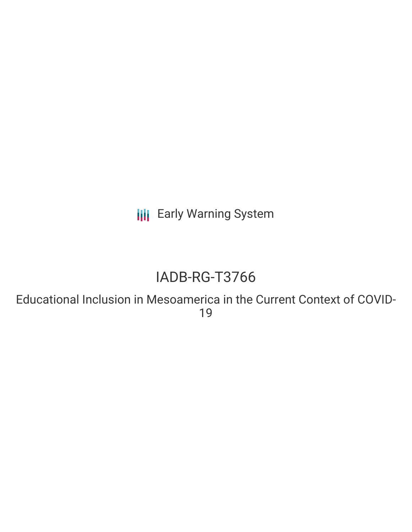**III** Early Warning System

# IADB-RG-T3766

Educational Inclusion in Mesoamerica in the Current Context of COVID-19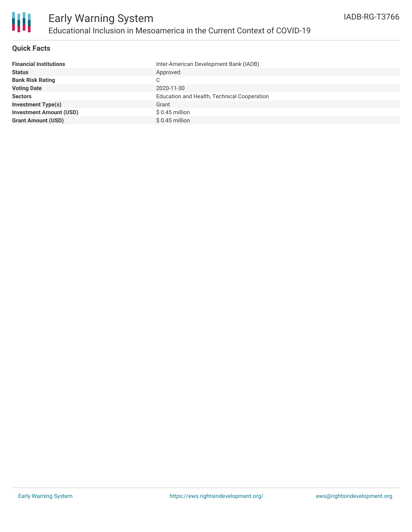

### **Quick Facts**

| <b>Financial Institutions</b>  | Inter-American Development Bank (IADB)      |
|--------------------------------|---------------------------------------------|
| <b>Status</b>                  | Approved                                    |
| <b>Bank Risk Rating</b>        | C                                           |
| <b>Voting Date</b>             | 2020-11-30                                  |
| <b>Sectors</b>                 | Education and Health, Technical Cooperation |
| <b>Investment Type(s)</b>      | Grant                                       |
| <b>Investment Amount (USD)</b> | $$0.45$ million                             |
| <b>Grant Amount (USD)</b>      | $$0.45$ million                             |
|                                |                                             |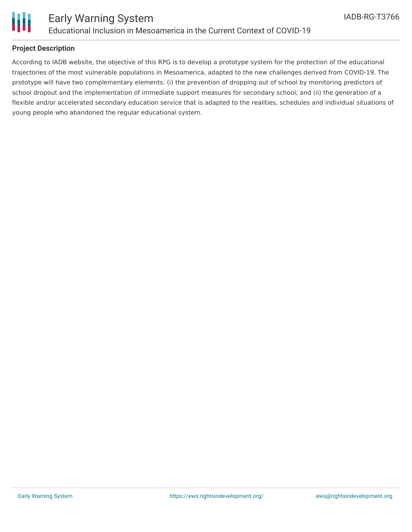



### **Project Description**

According to IADB website, the objective of this RPG is to develop a prototype system for the protection of the educational trajectories of the most vulnerable populations in Mesoamerica, adapted to the new challenges derived from COVID-19. The prototype will have two complementary elements: (i) the prevention of dropping out of school by monitoring predictors of school dropout and the implementation of immediate support measures for secondary school; and (ii) the generation of a flexible and/or accelerated secondary education service that is adapted to the realities, schedules and individual situations of young people who abandoned the regular educational system.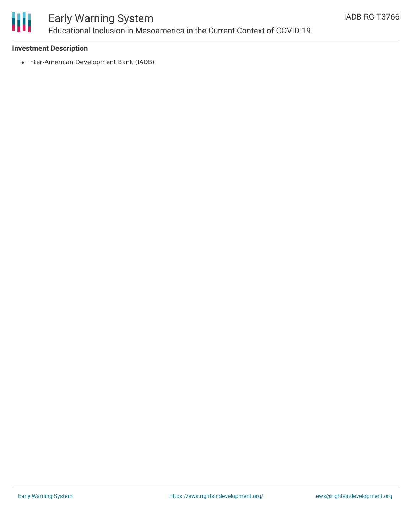

## Early Warning System Educational Inclusion in Mesoamerica in the Current Context of COVID-19

### **Investment Description**

• Inter-American Development Bank (IADB)